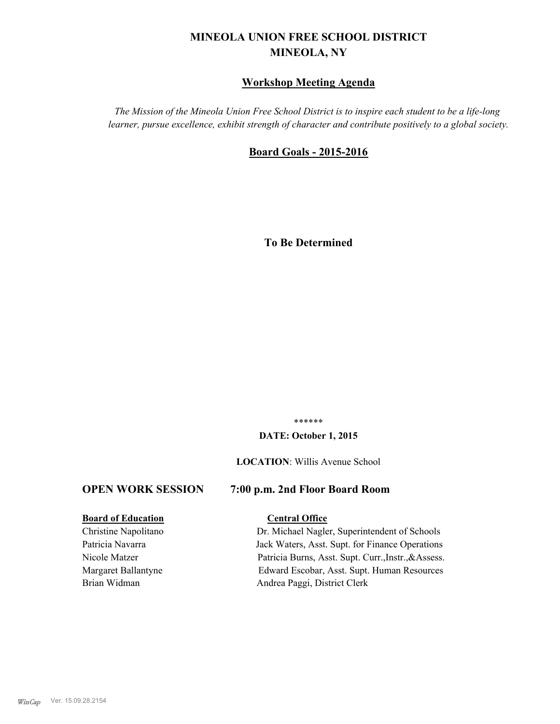# **MINEOLA UNION FREE SCHOOL DISTRICT MINEOLA, NY**

#### **Workshop Meeting Agenda**

*The Mission of the Mineola Union Free School District is to inspire each student to be a life-long learner, pursue excellence, exhibit strength of character and contribute positively to a global society.*

#### **Board Goals - 2015-2016**

**To Be Determined**

\*\*\*\*\*\*

#### **DATE: October 1, 2015**

#### **LOCATION**: Willis Avenue School

#### **OPEN WORK SESSION 7:00 p.m. 2nd Floor Board Room**

#### **Board of Education Central Office**

Christine Napolitano Dr. Michael Nagler, Superintendent of Schools Patricia Navarra Jack Waters, Asst. Supt. for Finance Operations Nicole Matzer Patricia Burns, Asst. Supt. Curr.,Instr.,&Assess. Margaret Ballantyne Edward Escobar, Asst. Supt. Human Resources Brian Widman Andrea Paggi, District Clerk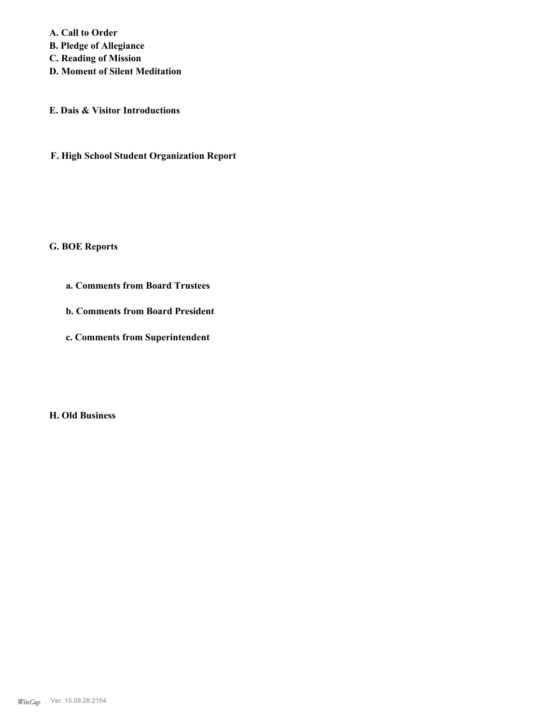**A. Call to Order B. Pledge of Allegiance C. Reading of Mission D. Moment of Silent Meditation**

**E. Dais & Visitor Introductions**

**F. High School Student Organization Report**

**G. BOE Reports**

**a. Comments from Board Trustees**

**b. Comments from Board President**

**c. Comments from Superintendent**

**H. Old Business**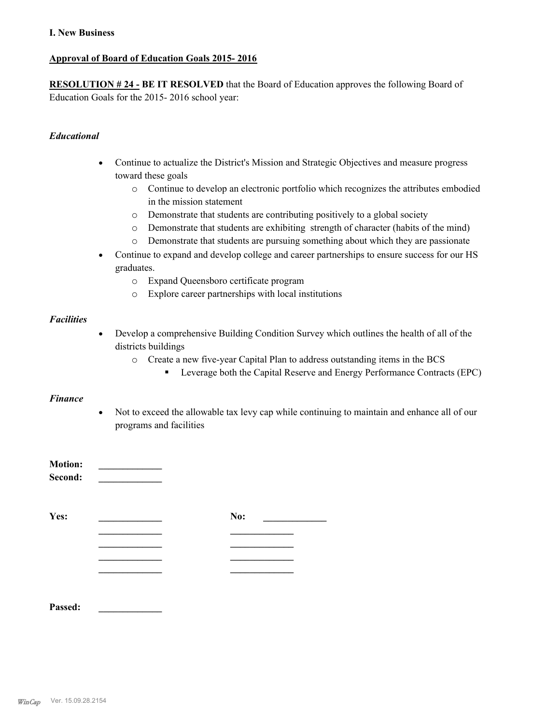#### **I. New Business**

#### **Approval of Board of Education Goals 2015- 2016**

**RESOLUTION # 24 - BE IT RESOLVED** that the Board of Education approves the following Board of Education Goals for the 2015- 2016 school year:

#### *Educational*

- · Continue to actualize the District's Mission and Strategic Objectives and measure progress toward these goals
	- o Continue to develop an electronic portfolio which recognizes the attributes embodied in the mission statement
	- o Demonstrate that students are contributing positively to a global society
	- o Demonstrate that students are exhibiting strength of character (habits of the mind)
	- o Demonstrate that students are pursuing something about which they are passionate
- · Continue to expand and develop college and career partnerships to ensure success for our HS graduates.
	- o Expand Queensboro certificate program
	- o Explore career partnerships with local institutions

#### *Facilities*

- · Develop a comprehensive Building Condition Survey which outlines the health of all of the districts buildings
	- o Create a new five-year Capital Plan to address outstanding items in the BCS
		- Leverage both the Capital Reserve and Energy Performance Contracts (EPC)

#### *Finance*

· Not to exceed the allowable tax levy cap while continuing to maintain and enhance all of our programs and facilities

| <b>Motion:</b><br>Second: |     |
|---------------------------|-----|
| Yes:                      | No: |
|                           |     |
|                           |     |
|                           |     |
|                           |     |
| Passed:                   |     |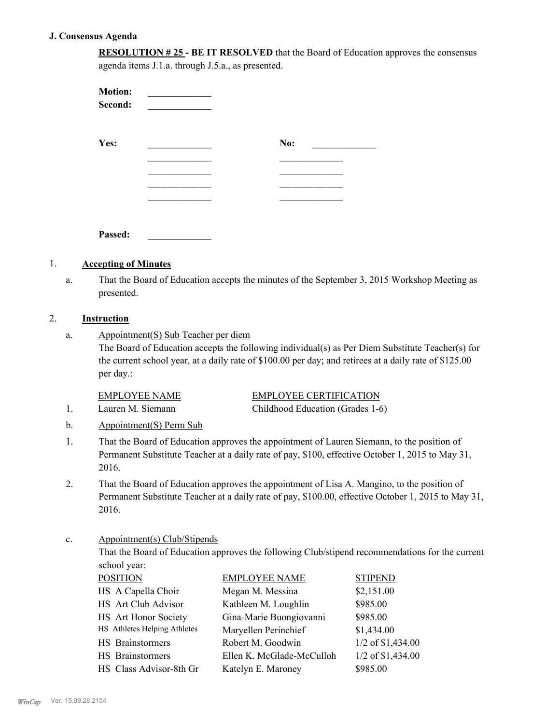#### **J. Consensus Agenda**

**RESOLUTION # 25 - BE IT RESOLVED** that the Board of Education approves the consensus agenda items J.1.a. through J.5.a., as presented.

| <b>Motion:</b><br>Second: |     |  |
|---------------------------|-----|--|
| Yes:                      | No: |  |
|                           |     |  |
|                           |     |  |
|                           |     |  |
|                           |     |  |
| Passed:                   |     |  |

#### 1. **Accepting of Minutes**

That the Board of Education accepts the minutes of the September 3, 2015 Workshop Meeting as presented. a.

#### 2. **Instruction**

Appointment(S) Sub Teacher per diem a.

> The Board of Education accepts the following individual(s) as Per Diem Substitute Teacher(s) for the current school year, at a daily rate of \$100.00 per day; and retirees at a daily rate of \$125.00 per day.:

#### EMPLOYEE NAME EMPLOYEE CERTIFICATION

1. Lauren M. Siemann Childhood Education (Grades 1-6)

b. Appointment(S) Perm Sub

- That the Board of Education approves the appointment of Lauren Siemann, to the position of Permanent Substitute Teacher at a daily rate of pay, \$100, effective October 1, 2015 to May 31, 2016. 1.
- That the Board of Education approves the appointment of Lisa A. Mangino, to the position of Permanent Substitute Teacher at a daily rate of pay, \$100.00, effective October 1, 2015 to May 31, 2016. 2.

#### Appointment(s) Club/Stipends c.

That the Board of Education approves the following Club/stipend recommendations for the current school year:

| <b>POSITION</b>              | <b>EMPLOYEE NAME</b>      | <b>STIPEND</b>    |
|------------------------------|---------------------------|-------------------|
| HS A Capella Choir           | Megan M. Messina          | \$2,151.00        |
| HS Art Club Advisor          | Kathleen M. Loughlin      | \$985.00          |
| HS Art Honor Society         | Gina-Marie Buongiovanni   | \$985.00          |
| HS Athletes Helping Athletes | Maryellen Perinchief      | \$1,434.00        |
| <b>HS</b> Brainstormers      | Robert M. Goodwin         | 1/2 of \$1,434.00 |
| HS Brainstormers             | Ellen K. McGlade-McCulloh | 1/2 of \$1,434.00 |
| HS Class Advisor-8th Gr      | Katelyn E. Maroney        | \$985.00          |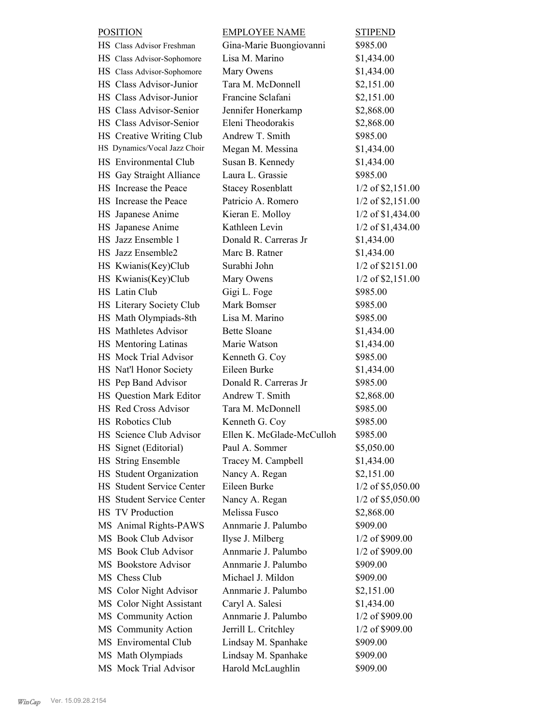| <b>POSITION</b> |                                  | <b>EMPLOYEE NAME</b>      | <b>STIPEND</b>      |
|-----------------|----------------------------------|---------------------------|---------------------|
|                 | HS Class Advisor Freshman        | Gina-Marie Buongiovanni   | \$985.00            |
|                 | HS Class Advisor-Sophomore       | Lisa M. Marino            | \$1,434.00          |
|                 | HS Class Advisor-Sophomore       | Mary Owens                | \$1,434.00          |
|                 | HS Class Advisor-Junior          | Tara M. McDonnell         | \$2,151.00          |
|                 | HS Class Advisor-Junior          | Francine Sclafani         | \$2,151.00          |
|                 | HS Class Advisor-Senior          | Jennifer Honerkamp        | \$2,868.00          |
|                 | HS Class Advisor-Senior          | Eleni Theodorakis         | \$2,868.00          |
|                 | HS Creative Writing Club         | Andrew T. Smith           | \$985.00            |
|                 | HS Dynamics/Vocal Jazz Choir     | Megan M. Messina          | \$1,434.00          |
|                 | HS Environmental Club            | Susan B. Kennedy          | \$1,434.00          |
|                 | HS Gay Straight Alliance         | Laura L. Grassie          | \$985.00            |
|                 | HS Increase the Peace            | <b>Stacey Rosenblatt</b>  | $1/2$ of \$2,151.00 |
|                 | HS Increase the Peace            | Patricio A. Romero        | $1/2$ of \$2,151.00 |
|                 | HS Japanese Anime                | Kieran E. Molloy          | $1/2$ of \$1,434.00 |
|                 | HS Japanese Anime                | Kathleen Levin            | 1/2 of \$1,434.00   |
|                 | HS Jazz Ensemble 1               | Donald R. Carreras Jr     | \$1,434.00          |
|                 | HS Jazz Ensemble2                | Marc B. Ratner            | \$1,434.00          |
|                 | HS Kwianis(Key)Club              | Surabhi John              | 1/2 of \$2151.00    |
|                 | HS Kwianis(Key)Club              | Mary Owens                | $1/2$ of \$2,151.00 |
|                 | HS Latin Club                    | Gigi L. Foge              | \$985.00            |
|                 | HS Literary Society Club         | Mark Bomser               | \$985.00            |
|                 | HS Math Olympiads-8th            | Lisa M. Marino            | \$985.00            |
|                 | HS Mathletes Advisor             | <b>Bette Sloane</b>       | \$1,434.00          |
|                 | HS Mentoring Latinas             | Marie Watson              | \$1,434.00          |
|                 | HS Mock Trial Advisor            | Kenneth G. Coy            | \$985.00            |
|                 | HS Nat'l Honor Society           | Eileen Burke              | \$1,434.00          |
|                 | HS Pep Band Advisor              | Donald R. Carreras Jr     | \$985.00            |
|                 | HS Question Mark Editor          | Andrew T. Smith           | \$2,868.00          |
|                 | HS Red Cross Advisor             | Tara M. McDonnell         | \$985.00            |
|                 | HS Robotics Club                 | Kenneth G. Coy            | \$985.00            |
|                 | HS Science Club Advisor          | Ellen K. McGlade-McCulloh | \$985.00            |
|                 | HS Signet (Editorial)            | Paul A. Sommer            | \$5,050.00          |
|                 | HS String Ensemble               | Tracey M. Campbell        | \$1,434.00          |
|                 | HS Student Organization          | Nancy A. Regan            | \$2,151.00          |
|                 | <b>HS</b> Student Service Center | Eileen Burke              | 1/2 of \$5,050.00   |
|                 | <b>HS</b> Student Service Center | Nancy A. Regan            | $1/2$ of \$5,050.00 |
|                 | <b>HS TV Production</b>          | Melissa Fusco             | \$2,868.00          |
|                 | MS Animal Rights-PAWS            | Annmarie J. Palumbo       | \$909.00            |
|                 | MS Book Club Advisor             | Ilyse J. Milberg          | 1/2 of \$909.00     |
|                 | MS Book Club Advisor             | Annmarie J. Palumbo       | 1/2 of \$909.00     |
|                 | MS Bookstore Advisor             | Annmarie J. Palumbo       | \$909.00            |
|                 | MS Chess Club                    | Michael J. Mildon         | \$909.00            |
|                 | MS Color Night Advisor           | Annmarie J. Palumbo       | \$2,151.00          |
|                 | MS Color Night Assistant         | Caryl A. Salesi           | \$1,434.00          |
|                 | MS Community Action              | Annmarie J. Palumbo       | 1/2 of \$909.00     |
|                 | MS Community Action              | Jerrill L. Critchley      | 1/2 of \$909.00     |
|                 | MS Enviromental Club             | Lindsay M. Spanhake       | \$909.00            |
|                 | MS Math Olympiads                | Lindsay M. Spanhake       | \$909.00            |
|                 | MS Mock Trial Advisor            | Harold McLaughlin         | \$909.00            |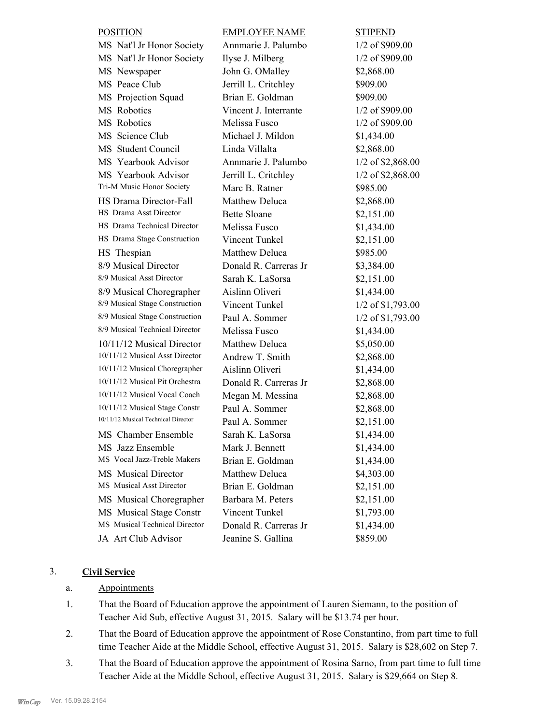| <b>POSITION</b>                     | <b>EMPLOYEE NAME</b>  | <b>STIPEND</b>      |
|-------------------------------------|-----------------------|---------------------|
| MS Nat'l Jr Honor Society           | Annmarie J. Palumbo   | 1/2 of \$909.00     |
| MS Nat'l Jr Honor Society           | Ilyse J. Milberg      | 1/2 of \$909.00     |
| MS Newspaper                        | John G. OMalley       | \$2,868.00          |
| MS Peace Club                       | Jerrill L. Critchley  | \$909.00            |
| MS Projection Squad                 | Brian E. Goldman      | \$909.00            |
| MS Robotics                         | Vincent J. Interrante | 1/2 of \$909.00     |
| MS Robotics                         | Melissa Fusco         | 1/2 of \$909.00     |
| MS Science Club                     | Michael J. Mildon     | \$1,434.00          |
| MS Student Council                  | Linda Villalta        | \$2,868.00          |
| MS Yearbook Advisor                 | Annmarie J. Palumbo   | 1/2 of \$2,868.00   |
| MS Yearbook Advisor                 | Jerrill L. Critchley  | $1/2$ of \$2,868.00 |
| Tri-M Music Honor Society           | Marc B. Ratner        | \$985.00            |
| HS Drama Director-Fall              | Matthew Deluca        | \$2,868.00          |
| HS Drama Asst Director              | <b>Bette Sloane</b>   | \$2,151.00          |
| HS Drama Technical Director         | Melissa Fusco         | \$1,434.00          |
| HS Drama Stage Construction         | Vincent Tunkel        | \$2,151.00          |
| HS Thespian                         | Matthew Deluca        | \$985.00            |
| 8/9 Musical Director                | Donald R. Carreras Jr | \$3,384.00          |
| 8/9 Musical Asst Director           | Sarah K. LaSorsa      | \$2,151.00          |
| 8/9 Musical Choregrapher            | Aislinn Oliveri       | \$1,434.00          |
| 8/9 Musical Stage Construction      | Vincent Tunkel        | 1/2 of \$1,793.00   |
| 8/9 Musical Stage Construction      | Paul A. Sommer        | 1/2 of \$1,793.00   |
| 8/9 Musical Technical Director      | Melissa Fusco         | \$1,434.00          |
| 10/11/12 Musical Director           | Matthew Deluca        | \$5,050.00          |
| 10/11/12 Musical Asst Director      | Andrew T. Smith       | \$2,868.00          |
| 10/11/12 Musical Choregrapher       | Aislinn Oliveri       | \$1,434.00          |
| 10/11/12 Musical Pit Orchestra      | Donald R. Carreras Jr | \$2,868.00          |
| 10/11/12 Musical Vocal Coach        | Megan M. Messina      | \$2,868.00          |
| 10/11/12 Musical Stage Constr       | Paul A. Sommer        | \$2,868.00          |
| 10/11/12 Musical Technical Director | Paul A. Sommer        | \$2,151.00          |
| MS Chamber Ensemble                 | Sarah K. LaSorsa      | \$1,434.00          |
| MS Jazz Ensemble                    | Mark J. Bennett       | \$1,434.00          |
| MS Vocal Jazz-Treble Makers         | Brian E. Goldman      | \$1,434.00          |
| <b>MS</b> Musical Director          | Matthew Deluca        | \$4,303.00          |
| MS Musical Asst Director            | Brian E. Goldman      | \$2,151.00          |
| MS Musical Choregrapher             | Barbara M. Peters     | \$2,151.00          |
| MS Musical Stage Constr             | Vincent Tunkel        | \$1,793.00          |
| MS Musical Technical Director       | Donald R. Carreras Jr | \$1,434.00          |
| JA Art Club Advisor                 | Jeanine S. Gallina    | \$859.00            |
|                                     |                       |                     |

# 3. **Civil Service**

#### a. Appointments

- That the Board of Education approve the appointment of Lauren Siemann, to the position of Teacher Aid Sub, effective August 31, 2015. Salary will be \$13.74 per hour. 1.
- That the Board of Education approve the appointment of Rose Constantino, from part time to full time Teacher Aide at the Middle School, effective August 31, 2015. Salary is \$28,602 on Step 7. 2.
- That the Board of Education approve the appointment of Rosina Sarno, from part time to full time Teacher Aide at the Middle School, effective August 31, 2015. Salary is \$29,664 on Step 8. 3.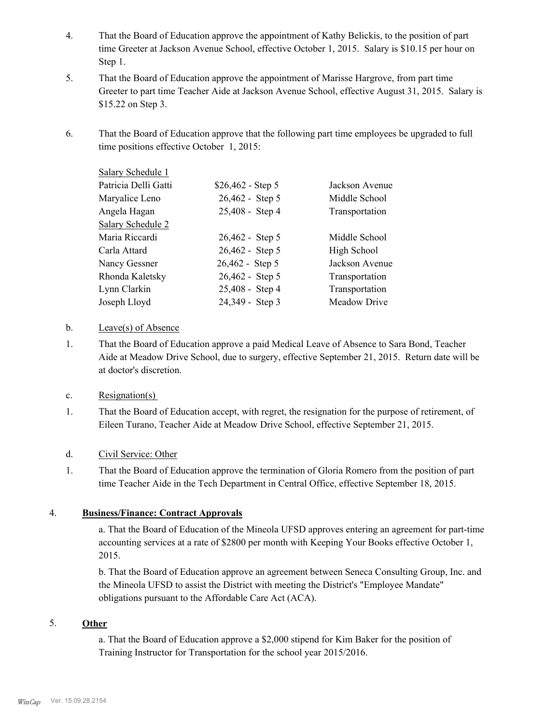- That the Board of Education approve the appointment of Kathy Belickis, to the position of part time Greeter at Jackson Avenue School, effective October 1, 2015. Salary is \$10.15 per hour on Step 1. 4.
- That the Board of Education approve the appointment of Marisse Hargrove, from part time Greeter to part time Teacher Aide at Jackson Avenue School, effective August 31, 2015. Salary is \$15.22 on Step 3. 5.
- That the Board of Education approve that the following part time employees be upgraded to full time positions effective October 1, 2015: 6.

| Salary Schedule 1    |                    |                |
|----------------------|--------------------|----------------|
| Patricia Delli Gatti | $$26,462 - Step 5$ | Jackson Avenue |
| Maryalice Leno       | 26,462 - Step 5    | Middle School  |
| Angela Hagan         | 25,408 - Step 4    | Transportation |
| Salary Schedule 2    |                    |                |
| Maria Riccardi       | 26,462 - Step 5    | Middle School  |
| Carla Attard         | 26,462 - Step 5    | High School    |
| Nancy Gessner        | 26,462 - Step 5    | Jackson Avenue |
| Rhonda Kaletsky      | 26,462 - Step 5    | Transportation |
| Lynn Clarkin         | 25,408 - Step 4    | Transportation |
| Joseph Lloyd         | 24,349 - Step 3    | Meadow Drive   |

#### b. Leave(s) of Absence

That the Board of Education approve a paid Medical Leave of Absence to Sara Bond, Teacher Aide at Meadow Drive School, due to surgery, effective September 21, 2015. Return date will be at doctor's discretion. 1.

## c. Resignation(s)

That the Board of Education accept, with regret, the resignation for the purpose of retirement, of Eileen Turano, Teacher Aide at Meadow Drive School, effective September 21, 2015. 1.

## d. Civil Service: Other

That the Board of Education approve the termination of Gloria Romero from the position of part time Teacher Aide in the Tech Department in Central Office, effective September 18, 2015. 1.

## 4. **Business/Finance: Contract Approvals**

a. That the Board of Education of the Mineola UFSD approves entering an agreement for part-time accounting services at a rate of \$2800 per month with Keeping Your Books effective October 1, 2015.

b. That the Board of Education approve an agreement between Seneca Consulting Group, Inc. and the Mineola UFSD to assist the District with meeting the District's "Employee Mandate" obligations pursuant to the Affordable Care Act (ACA).

#### 5. **Other**

a. That the Board of Education approve a \$2,000 stipend for Kim Baker for the position of Training Instructor for Transportation for the school year 2015/2016.